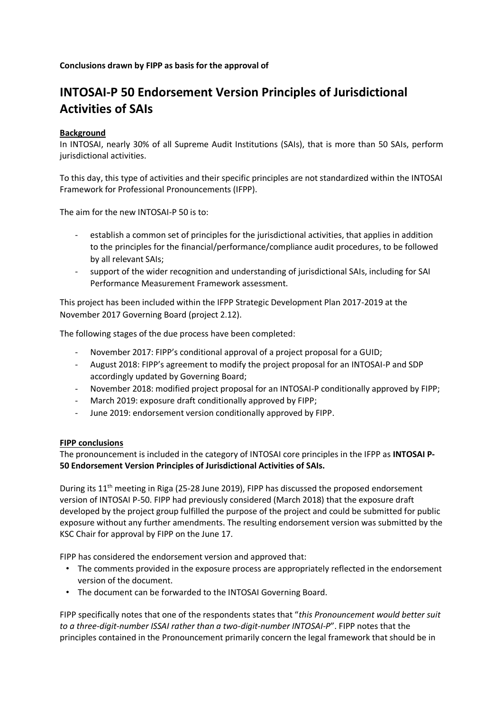**Conclusions drawn by FIPP as basis for the approval of**

## **INTOSAI-P 50 Endorsement Version Principles of Jurisdictional Activities of SAIs**

## **Background**

In INTOSAI, nearly 30% of all Supreme Audit Institutions (SAIs), that is more than 50 SAIs, perform jurisdictional activities.

To this day, this type of activities and their specific principles are not standardized within the INTOSAI Framework for Professional Pronouncements (IFPP).

The aim for the new INTOSAI-P 50 is to:

- establish a common set of principles for the jurisdictional activities, that applies in addition to the principles for the financial/performance/compliance audit procedures, to be followed by all relevant SAIs;
- support of the wider recognition and understanding of jurisdictional SAIs, including for SAI Performance Measurement Framework assessment.

This project has been included within the IFPP Strategic Development Plan 2017-2019 at the November 2017 Governing Board (project 2.12).

The following stages of the due process have been completed:

- November 2017: FIPP's conditional approval of a project proposal for a GUID;
- August 2018: FIPP's agreement to modify the project proposal for an INTOSAI-P and SDP accordingly updated by Governing Board;
- November 2018: modified project proposal for an INTOSAI-P conditionally approved by FIPP;
- March 2019: exposure draft conditionally approved by FIPP;
- June 2019: endorsement version conditionally approved by FIPP.

## **FIPP conclusions**

The pronouncement is included in the category of INTOSAI core principles in the IFPP as **INTOSAI P-50 Endorsement Version Principles of Jurisdictional Activities of SAIs.**

During its  $11<sup>th</sup>$  meeting in Riga (25-28 June 2019), FIPP has discussed the proposed endorsement version of INTOSAI P-50. FIPP had previously considered (March 2018) that the exposure draft developed by the project group fulfilled the purpose of the project and could be submitted for public exposure without any further amendments. The resulting endorsement version was submitted by the KSC Chair for approval by FIPP on the June 17.

FIPP has considered the endorsement version and approved that:

- The comments provided in the exposure process are appropriately reflected in the endorsement version of the document.
- The document can be forwarded to the INTOSAI Governing Board.

FIPP specifically notes that one of the respondents states that "*this Pronouncement would better suit to a three-digit-number ISSAI rather than a two-digit-number INTOSAI-P*". FIPP notes that the principles contained in the Pronouncement primarily concern the legal framework that should be in